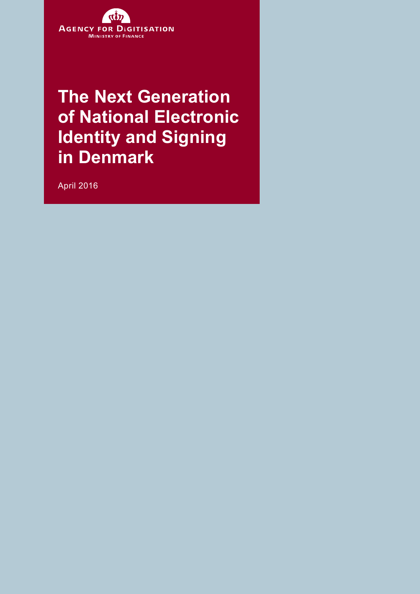

**The Next Generation of National Electronic Identity and Signing in Denmark** 

April 2016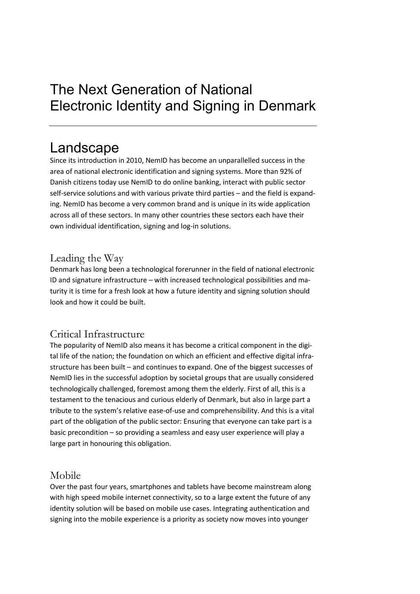# The Next Generation of National Electronic Identity and Signing in Denmark

### Landscape

Since its introduction in 2010, NemID has become an unparallelled success in the area of national electronic identification and signing systems. More than 92% of Danish citizens today use NemID to do online banking, interact with public sector self-service solutions and with various private third parties – and the field is expanding. NemID has become a very common brand and is unique in its wide application across all of these sectors. In many other countries these sectors each have their own individual identification, signing and log-in solutions.

#### Leading the Way

Denmark has long been a technological forerunner in the field of national electronic ID and signature infrastructure – with increased technological possibilities and maturity it is time for a fresh look at how a future identity and signing solution should look and how it could be built.

#### Critical Infrastructure

The popularity of NemID also means it has become a critical component in the digital life of the nation; the foundation on which an efficient and effective digital infrastructure has been built – and continues to expand. One of the biggest successes of NemID lies in the successful adoption by societal groups that are usually considered technologically challenged, foremost among them the elderly. First of all, this is a testament to the tenacious and curious elderly of Denmark, but also in large part a tribute to the system's relative ease-of-use and comprehensibility. And this is a vital part of the obligation of the public sector: Ensuring that everyone can take part is a basic precondition – so providing a seamless and easy user experience will play a large part in honouring this obligation.

#### Mobile

Over the past four years, smartphones and tablets have become mainstream along with high speed mobile internet connectivity, so to a large extent the future of any identity solution will be based on mobile use cases. Integrating authentication and signing into the mobile experience is a priority as society now moves into younger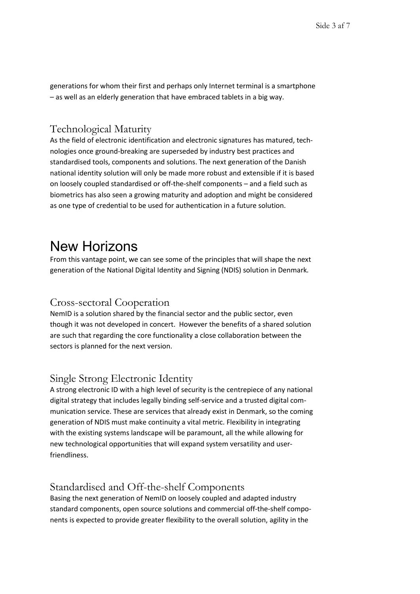generations for whom their first and perhaps only Internet terminal is a smartphone – as well as an elderly generation that have embraced tablets in a big way.

#### Technological Maturity

As the field of electronic identification and electronic signatures has matured, technologies once ground-breaking are superseded by industry best practices and standardised tools, components and solutions. The next generation of the Danish national identity solution will only be made more robust and extensible if it is based on loosely coupled standardised or off-the-shelf components – and a field such as biometrics has also seen a growing maturity and adoption and might be considered as one type of credential to be used for authentication in a future solution.

### New Horizons

From this vantage point, we can see some of the principles that will shape the next generation of the National Digital Identity and Signing (NDIS) solution in Denmark.

#### Cross-sectoral Cooperation

NemID is a solution shared by the financial sector and the public sector, even though it was not developed in concert. However the benefits of a shared solution are such that regarding the core functionality a close collaboration between the sectors is planned for the next version.

#### Single Strong Electronic Identity

A strong electronic ID with a high level of security is the centrepiece of any national digital strategy that includes legally binding self-service and a trusted digital communication service. These are services that already exist in Denmark, so the coming generation of NDIS must make continuity a vital metric. Flexibility in integrating with the existing systems landscape will be paramount, all the while allowing for new technological opportunities that will expand system versatility and userfriendliness.

#### Standardised and Off-the-shelf Components

Basing the next generation of NemID on loosely coupled and adapted industry standard components, open source solutions and commercial off-the-shelf components is expected to provide greater flexibility to the overall solution, agility in the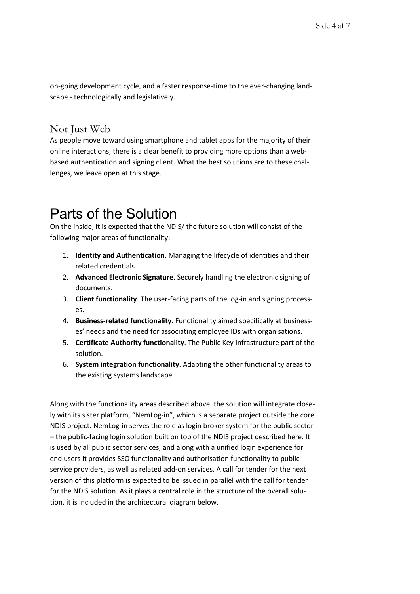on-going development cycle, and a faster response-time to the ever-changing landscape - technologically and legislatively.

#### Not Just Web

As people move toward using smartphone and tablet apps for the majority of their online interactions, there is a clear benefit to providing more options than a webbased authentication and signing client. What the best solutions are to these challenges, we leave open at this stage.

# Parts of the Solution

On the inside, it is expected that the NDIS/ the future solution will consist of the following major areas of functionality:

- 1. **Identity and Authentication**. Managing the lifecycle of identities and their related credentials
- 2. **Advanced Electronic Signature**. Securely handling the electronic signing of documents.
- 3. **Client functionality**. The user-facing parts of the log-in and signing processes.
- 4. **Business-related functionality**. Functionality aimed specifically at businesses' needs and the need for associating employee IDs with organisations.
- 5. **Certificate Authority functionality**. The Public Key Infrastructure part of the solution.
- 6. **System integration functionality**. Adapting the other functionality areas to the existing systems landscape

Along with the functionality areas described above, the solution will integrate closely with its sister platform, "NemLog-in", which is a separate project outside the core NDIS project. NemLog-in serves the role as login broker system for the public sector – the public-facing login solution built on top of the NDIS project described here. It is used by all public sector services, and along with a unified login experience for end users it provides SSO functionality and authorisation functionality to public service providers, as well as related add-on services. A call for tender for the next version of this platform is expected to be issued in parallel with the call for tender for the NDIS solution. As it plays a central role in the structure of the overall solution, it is included in the architectural diagram below.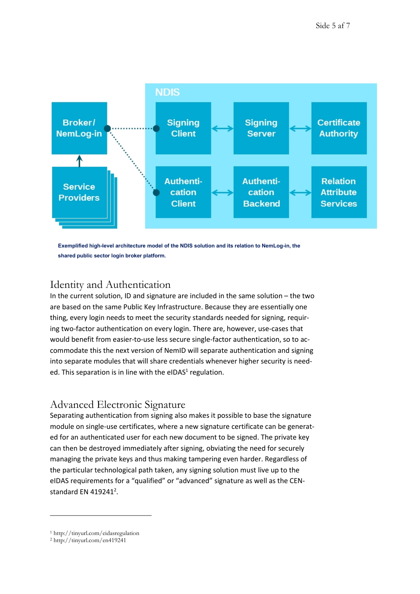

**Exemplified high-level architecture model of the NDIS solution and its relation to NemLog-in, the shared public sector login broker platform.**

#### Identity and Authentication

In the current solution, ID and signature are included in the same solution – the two are based on the same Public Key Infrastructure. Because they are essentially one thing, every login needs to meet the security standards needed for signing, requiring two-factor authentication on every login. There are, however, use-cases that would benefit from easier-to-use less secure single-factor authentication, so to accommodate this the next version of NemID will separate authentication and signing into separate modules that will share credentials whenever higher security is needed. This separation is in line with the eIDAS<sup>1</sup> [regulation.](#page-4-0)

#### <span id="page-4-1"></span>Advanced Electronic Signature

Separating authentication from signing also makes it possible to base the signature module on single-use certificates, where a new signature certificate can be generated for an authenticated user for each new document to be signed. The private key can then be destroyed immediately after signing, obviating the need for securely managing the private keys and thus making tampering even harder. Regardless of the particular technological path taken, any signing solution must live up to the eIDAS requirements for a "qualified" or "advanced" signature as well as the CENstandard EN  $419241^2$ .

<span id="page-4-2"></span>-

<span id="page-4-0"></span>[<sup>1</sup>](#page-4-1) http://tinyurl.com/eidasregulation

[<sup>2</sup>](#page-4-2) http://tinyurl.com/en419241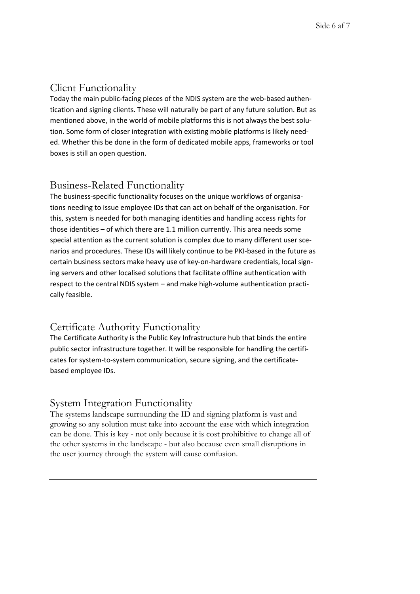#### Client Functionality

Today the main public-facing pieces of the NDIS system are the web-based authentication and signing clients. These will naturally be part of any future solution. But as mentioned above, in the world of mobile platforms this is not always the best solution. Some form of closer integration with existing mobile platforms is likely needed. Whether this be done in the form of dedicated mobile apps, frameworks or tool boxes is still an open question.

#### Business-Related Functionality

The business-specific functionality focuses on the unique workflows of organisations needing to issue employee IDs that can act on behalf of the organisation. For this, system is needed for both managing identities and handling access rights for those identities – of which there are 1.1 million currently. This area needs some special attention as the current solution is complex due to many different user scenarios and procedures. These IDs will likely continue to be PKI-based in the future as certain business sectors make heavy use of key-on-hardware credentials, local signing servers and other localised solutions that facilitate offline authentication with respect to the central NDIS system – and make high-volume authentication practically feasible.

### Certificate Authority Functionality

The Certificate Authority is the Public Key Infrastructure hub that binds the entire public sector infrastructure together. It will be responsible for handling the certificates for system-to-system communication, secure signing, and the certificatebased employee IDs.

#### System Integration Functionality

The systems landscape surrounding the ID and signing platform is vast and growing so any solution must take into account the ease with which integration can be done. This is key - not only because it is cost prohibitive to change all of the other systems in the landscape - but also because even small disruptions in the user journey through the system will cause confusion.